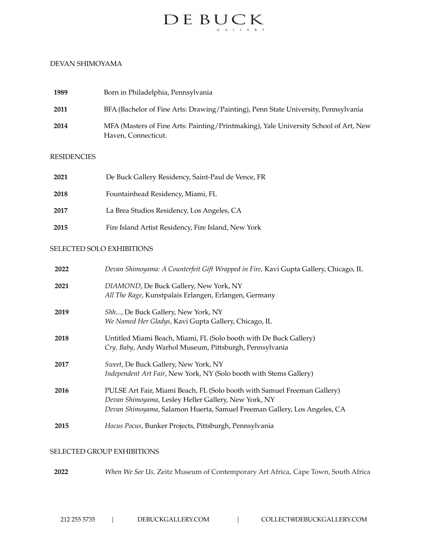

## DEVAN SHIMOYAMA

| 1989                      | Born in Philadelphia, Pennsylvania                                                                                           |  |
|---------------------------|------------------------------------------------------------------------------------------------------------------------------|--|
| 2011                      | BFA (Bachelor of Fine Arts: Drawing/Painting), Penn State University, Pennsylvania                                           |  |
| 2014                      | MFA (Masters of Fine Arts: Painting/Printmaking), Yale University School of Art, New<br>Haven, Connecticut.                  |  |
| RESIDENCIES               |                                                                                                                              |  |
| 2021                      | De Buck Gallery Residency, Saint-Paul de Vence, FR                                                                           |  |
| 2018                      | Fountainhead Residency, Miami, FL                                                                                            |  |
| 2017                      | La Brea Studios Residency, Los Angeles, CA                                                                                   |  |
| 2015                      | Fire Island Artist Residency, Fire Island, New York                                                                          |  |
| SELECTED SOLO EXHIBITIONS |                                                                                                                              |  |
| 2022                      | Devan Shimoyama: A Counterfeit Gift Wrapped in Fire, Kavi Gupta Gallery, Chicago, IL                                         |  |
| 2021                      | DIAMOND, De Buck Gallery, New York, NY<br>All The Rage, Kunstpalais Erlangen, Erlangen, Germany                              |  |
| 2019                      | Shh, De Buck Gallery, New York, NY<br>We Named Her Gladys, Kavi Gupta Gallery, Chicago, IL                                   |  |
| 2018                      | Untitled Miami Beach, Miami, FL (Solo booth with De Buck Gallery)<br>Cry, Baby, Andy Warhol Museum, Pittsburgh, Pennsylvania |  |

#### SELECTED GROUP EXHIBITIONS

**2017** *Sweet*, De Buck Gallery, New York, NY

**2015** *Hocus Pocus*, Bunker Projects, Pittsburgh, Pennsylvania

**2022** *When We See Us,* Zeitz Museum of Contemporary Art Africa, Cape Town, South Africa

*Independent Art Fair*, New York, NY (Solo booth with Stems Gallery)

*Devan Shimoyama*, Salamon Huerta, Samuel Freeman Gallery, Los Angeles, CA

**2016** PULSE Art Fair, Miami Beach, FL (Solo booth with Samuel Freeman Gallery) *Devan Shimoyama*, Lesley Heller Gallery, New York, NY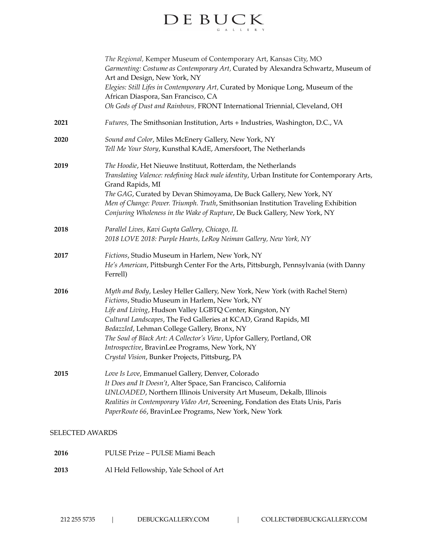

|      | The Regional, Kemper Museum of Contemporary Art, Kansas City, MO<br>Garmenting: Costume as Contemporary Art, Curated by Alexandra Schwartz, Museum of<br>Art and Design, New York, NY<br>Elegies: Still Lifes in Contemporary Art, Curated by Monique Long, Museum of the<br>African Diaspora, San Francisco, CA<br>Oh Gods of Dust and Rainbows, FRONT International Triennial, Cleveland, OH                                                                                                  |
|------|-------------------------------------------------------------------------------------------------------------------------------------------------------------------------------------------------------------------------------------------------------------------------------------------------------------------------------------------------------------------------------------------------------------------------------------------------------------------------------------------------|
| 2021 | Futures, The Smithsonian Institution, Arts + Industries, Washington, D.C., VA                                                                                                                                                                                                                                                                                                                                                                                                                   |
| 2020 | Sound and Color, Miles McEnery Gallery, New York, NY<br>Tell Me Your Story, Kunsthal KAdE, Amersfoort, The Netherlands                                                                                                                                                                                                                                                                                                                                                                          |
| 2019 | The Hoodie, Het Nieuwe Instituut, Rotterdam, the Netherlands<br>Translating Valence: redefining black male identity, Urban Institute for Contemporary Arts,<br>Grand Rapids, MI<br>The GAG, Curated by Devan Shimoyama, De Buck Gallery, New York, NY<br>Men of Change: Power. Triumph. Truth, Smithsonian Institution Traveling Exhibition<br>Conjuring Wholeness in the Wake of Rupture, De Buck Gallery, New York, NY                                                                        |
| 2018 | Parallel Lives, Kavi Gupta Gallery, Chicago, IL<br>2018 LOVE 2018: Purple Hearts, LeRoy Neiman Gallery, New York, NY                                                                                                                                                                                                                                                                                                                                                                            |
| 2017 | Fictions, Studio Museum in Harlem, New York, NY<br>He's American, Pittsburgh Center For the Arts, Pittsburgh, Pennsylvania (with Danny<br>Ferrell)                                                                                                                                                                                                                                                                                                                                              |
| 2016 | Myth and Body, Lesley Heller Gallery, New York, New York (with Rachel Stern)<br>Fictions, Studio Museum in Harlem, New York, NY<br>Life and Living, Hudson Valley LGBTQ Center, Kingston, NY<br>Cultural Landscapes, The Fed Galleries at KCAD, Grand Rapids, MI<br>Bedazzled, Lehman College Gallery, Bronx, NY<br>The Soul of Black Art: A Collector's View, Upfor Gallery, Portland, OR<br>Introspective, BravinLee Programs, New York, NY<br>Crystal Vision, Bunker Projects, Pittsburg, PA |
| 2015 | Love Is Love, Emmanuel Gallery, Denver, Colorado<br>It Does and It Doesn't, Alter Space, San Francisco, California<br>UNLOADED, Northern Illinois University Art Museum, Dekalb, Illinois<br>Realities in Contemporary Video Art, Screening, Fondation des Etats Unis, Paris<br>PaperRoute 66, BravinLee Programs, New York, New York                                                                                                                                                           |

### SELECTED AWARDS

- **2016** PULSE Prize PULSE Miami Beach
- **2013** Al Held Fellowship, Yale School of Art